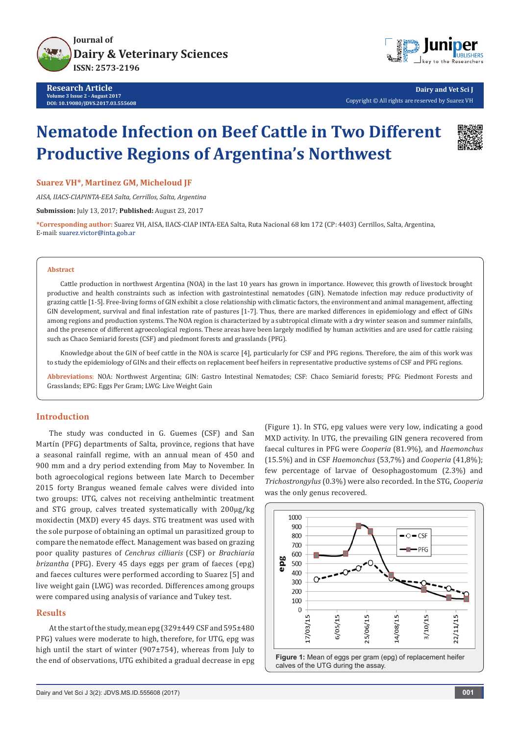



**Dairy and Vet Sci J** Copyright © All rights are reserved by Suarez VH

# **Nematode Infection on Beef Cattle in Two Different Productive Regions of Argentina's Northwest**



**Suarez VH\*, Martinez GM, Micheloud JF**

*AISA, IIACS-CIAPINTA-EEA Salta, Cerrillos, Salta, Argentina*

**Submission:** July 13, 2017; **Published:** August 23, 2017

**\*Corresponding author:** Suarez VH, AISA, IIACS-CIAP INTA-EEA Salta, Ruta Nacional 68 km 172 (CP: 4403) Cerrillos, Salta, Argentina, E-mail: suarez.victor@inta.gob.ar

#### **Abstract**

Cattle production in northwest Argentina (NOA) in the last 10 years has grown in importance. However, this growth of livestock brought productive and health constraints such as infection with gastrointestinal nematodes (GIN). Nematode infection may reduce productivity of grazing cattle [1-5]. Free-living forms of GIN exhibit a close relationship with climatic factors, the environment and animal management, affecting GIN development, survival and final infestation rate of pastures [1-7]. Thus, there are marked differences in epidemiology and effect of GINs among regions and production systems. The NOA region is characterized by a subtropical climate with a dry winter season and summer rainfalls, and the presence of different agroecological regions. These areas have been largely modified by human activities and are used for cattle raising such as Chaco Semiarid forests (CSF) and piedmont forests and grasslands (PFG).

Knowledge about the GIN of beef cattle in the NOA is scarce [4], particularly for CSF and PFG regions. Therefore, the aim of this work was to study the epidemiology of GINs and their effects on replacement beef heifers in representative productive systems of CSF and PFG regions.

**Abbreviations**: NOA: Northwest Argentina; GIN: Gastro Intestinal Nematodes; CSF: Chaco Semiarid forests; PFG: Piedmont Forests and Grasslands; EPG: Eggs Per Gram; LWG: Live Weight Gain

# **Introduction**

The study was conducted in G. Guemes (CSF) and San Martín (PFG) departments of Salta, province, regions that have a seasonal rainfall regime, with an annual mean of 450 and 900 mm and a dry period extending from May to November. In both agroecological regions between late March to December 2015 forty Brangus weaned female calves were divided into two groups: UTG, calves not receiving anthelmintic treatment and STG group, calves treated systematically with 200µg/kg moxidectin (MXD) every 45 days. STG treatment was used with the sole purpose of obtaining an optimal un parasitized group to compare the nematode effect. Management was based on grazing poor quality pastures of *Cenchrus cilliaris* (CSF) or *Brachiaria brizantha* (PFG). Every 45 days eggs per gram of faeces (epg) and faeces cultures were performed according to Suarez [5] and live weight gain (LWG) was recorded. Differences among groups were compared using analysis of variance and Tukey test.

### **Results**

At the start of the study, mean epg (329±449 CSF and 595±480 PFG) values were moderate to high, therefore, for UTG, epg was high until the start of winter (907±754), whereas from July to the end of observations, UTG exhibited a gradual decrease in epg

(Figure 1). In STG, epg values were very low, indicating a good MXD activity. In UTG, the prevailing GIN genera recovered from faecal cultures in PFG were *Cooperia* (81.9%), and *Haemonchus*  (15.5%) and in CSF *Haemonchus* (53,7%) and *Cooperia* (41,8%); few percentage of larvae of Oesophagostomum (2.3%) and *Trichostrongylus* (0.3%) were also recorded. In the STG, *Cooperia* was the only genus recovered.